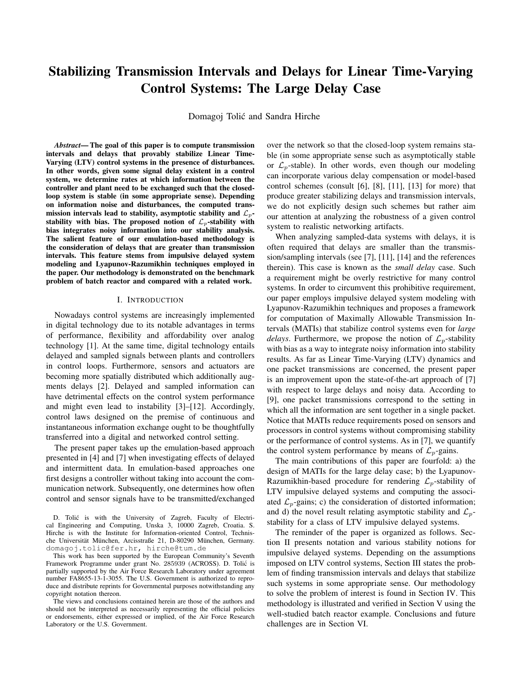# Stabilizing Transmission Intervals and Delays for Linear Time-Varying Control Systems: The Large Delay Case

Domagoj Tolic and Sandra Hirche ´

*Abstract*— The goal of this paper is to compute transmission intervals and delays that provably stabilize Linear Time-Varying (LTV) control systems in the presence of disturbances. In other words, given some signal delay existent in a control system, we determine rates at which information between the controller and plant need to be exchanged such that the closedloop system is stable (in some appropriate sense). Depending on information noise and disturbances, the computed transmission intervals lead to stability, asymptotic stability and  $\mathcal{L}_p$ stability with bias. The proposed notion of  $\mathcal{L}_p$ -stability with bias integrates noisy information into our stability analysis. The salient feature of our emulation-based methodology is the consideration of delays that are greater than transmission intervals. This feature stems from impulsive delayed system modeling and Lyapunov-Razumikhin techniques employed in the paper. Our methodology is demonstrated on the benchmark problem of batch reactor and compared with a related work.

#### I. INTRODUCTION

Nowadays control systems are increasingly implemented in digital technology due to its notable advantages in terms of performance, flexibility and affordability over analog technology [1]. At the same time, digital technology entails delayed and sampled signals between plants and controllers in control loops. Furthermore, sensors and actuators are becoming more spatially distributed which additionally augments delays [2]. Delayed and sampled information can have detrimental effects on the control system performance and might even lead to instability [3]–[12]. Accordingly, control laws designed on the premise of continuous and instantaneous information exchange ought to be thoughtfully transferred into a digital and networked control setting.

The present paper takes up the emulation-based approach presented in [4] and [7] when investigating effects of delayed and intermittent data. In emulation-based approaches one first designs a controller without taking into account the communication network. Subsequently, one determines how often control and sensor signals have to be transmitted/exchanged

D. Tolić is with the University of Zagreb, Faculty of Electrical Engineering and Computing, Unska 3, 10000 Zagreb, Croatia. S. Hirche is with the Institute for Information-oriented Control, Technische Universität München, Arcisstraße 21, D-80290 München, Germany. domagoj.tolic@fer.hr, hirche@tum.de

This work has been supported by the European Community's Seventh Framework Programme under grant No. 285939 (ACROSS). D. Tolic is ´ partially supported by the Air Force Research Laboratory under agreement number FA8655-13-1-3055. The U.S. Government is authorized to reproduce and distribute reprints for Governmental purposes notwithstanding any copyright notation thereon.

The views and conclusions contained herein are those of the authors and should not be interpreted as necessarily representing the official policies or endorsements, either expressed or implied, of the Air Force Research Laboratory or the U.S. Government.

over the network so that the closed-loop system remains stable (in some appropriate sense such as asymptotically stable or  $\mathcal{L}_n$ -stable). In other words, even though our modeling can incorporate various delay compensation or model-based control schemes (consult [6], [8], [11], [13] for more) that produce greater stabilizing delays and transmission intervals, we do not explicitly design such schemes but rather aim our attention at analyzing the robustness of a given control system to realistic networking artifacts.

When analyzing sampled-data systems with delays, it is often required that delays are smaller than the transmission/sampling intervals (see [7], [11], [14] and the references therein). This case is known as the *small delay* case. Such a requirement might be overly restrictive for many control systems. In order to circumvent this prohibitive requirement, our paper employs impulsive delayed system modeling with Lyapunov-Razumikhin techniques and proposes a framework for computation of Maximally Allowable Transmission Intervals (MATIs) that stabilize control systems even for *large delays.* Furthermore, we propose the notion of  $\mathcal{L}_p$ -stability with bias as a way to integrate noisy information into stability results. As far as Linear Time-Varying (LTV) dynamics and one packet transmissions are concerned, the present paper is an improvement upon the state-of-the-art approach of [7] with respect to large delays and noisy data. According to [9], one packet transmissions correspond to the setting in which all the information are sent together in a single packet. Notice that MATIs reduce requirements posed on sensors and processors in control systems without compromising stability or the performance of control systems. As in [7], we quantify the control system performance by means of  $\mathcal{L}_p$ -gains.

The main contributions of this paper are fourfold: a) the design of MATIs for the large delay case; b) the Lyapunov-Razumikhin-based procedure for rendering  $\mathcal{L}_p$ -stability of LTV impulsive delayed systems and computing the associated  $\mathcal{L}_p$ -gains; c) the consideration of distorted information; and d) the novel result relating asymptotic stability and  $\mathcal{L}_p$ stability for a class of LTV impulsive delayed systems.

The reminder of the paper is organized as follows. Section II presents notation and various stability notions for impulsive delayed systems. Depending on the assumptions imposed on LTV control systems, Section III states the problem of finding transmission intervals and delays that stabilize such systems in some appropriate sense. Our methodology to solve the problem of interest is found in Section IV. This methodology is illustrated and verified in Section V using the well-studied batch reactor example. Conclusions and future challenges are in Section VI.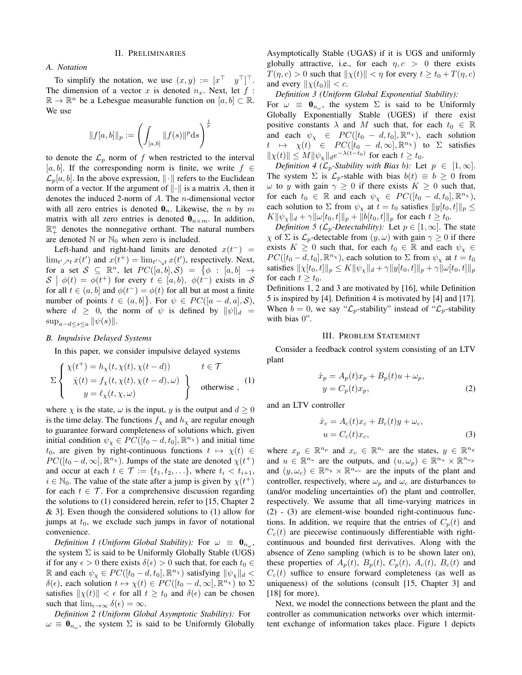#### II. PRELIMINARIES

#### *A. Notation*

To simplify the notation, we use  $(x, y) := [x^\top y^\top]^\top$ . The dimension of a vector x is denoted  $n_x$ . Next, let f:  $\mathbb{R} \to \mathbb{R}^n$  be a Lebesgue measurable function on  $[a, b] \subset \mathbb{R}$ . We use

$$
||f[a,b]||_p:=\left(\int_{[a,b]}||f(s)||^p{\rm d} s\right)^{\frac{1}{p}}
$$

to denote the  $\mathcal{L}_p$  norm of f when restricted to the interval [a, b]. If the corresponding norm is finite, we write  $f \in$  $\mathcal{L}_p[a, b]$ . In the above expression,  $\|\cdot\|$  refers to the Euclidean norm of a vector. If the argument of  $\|\cdot\|$  is a matrix A, then it denotes the induced 2-norm of A. The n-dimensional vector with all zero entries is denoted  $\mathbf{0}_n$ . Likewise, the *n* by *m* matrix with all zero entries is denoted  $\mathbf{0}_{n \times m}$ . In addition,  $\mathbb{R}^n_+$  denotes the nonnegative orthant. The natural numbers are denoted  $\mathbb N$  or  $\mathbb N_0$  when zero is included.

Left-hand and right-hand limits are denoted  $x(t^-)$  =  $\lim_{t' \nearrow t} x(t')$  and  $x(t^+) = \lim_{t' \searrow t} x(t')$ , respectively. Next, for a set  $S \subseteq \mathbb{R}^n$ , let  $PC([a, b], S) = \{ \phi : [a, b] \rightarrow \phi \}$  $\mathcal{S}$   $\phi(t) = \phi(t^+)$  for every  $t \in [a, b), \phi(t^-)$  exists in  $\mathcal{S}$ for all  $t \in (a, b]$  and  $\phi(t^{-}) = \phi(t)$  for all but at most a finite number of points  $t \in (a, b]$ . For  $\psi \in PC([a - d, a], S)$ , where  $d \geq 0$ , the norm of  $\psi$  is defined by  $\|\psi\|_d =$  $\sup_{a-d\leq s\leq a} \|\psi(s)\|.$ 

# *B. Impulsive Delayed Systems*

In this paper, we consider impulsive delayed systems

$$
\Sigma \left\{ \begin{array}{l}\n\chi(t^+) = h_\chi(t, \chi(t), \chi(t - d)) & t \in \mathcal{T} \\
\dot{\chi}(t) = f_\chi(t, \chi(t), \chi(t - d), \omega) \\
y = \ell_\chi(t, \chi, \omega)\n\end{array} \right\} \quad \text{otherwise} \tag{1}
$$

where  $\chi$  is the state,  $\omega$  is the input, y is the output and  $d \ge 0$ is the time delay. The functions  $f<sub>x</sub>$  and  $h<sub>x</sub>$  are regular enough to guarantee forward completeness of solutions which, given initial condition  $\psi_{\chi} \in PC([t_0-d, t_0], \mathbb{R}^{n_{\chi}})$  and initial time  $t_0$ , are given by right-continuous functions  $t \mapsto \chi(t) \in$  $PC([t_0-d,\infty], \mathbb{R}^{n_\chi})$ . Jumps of the state are denoted  $\chi(t^+)$ and occur at each  $t \in \mathcal{T} := \{t_1, t_2, \ldots\}$ , where  $t_i < t_{i+1}$ ,  $i \in \mathbb{N}_0$ . The value of the state after a jump is given by  $\chi(t^+)$ for each  $t \in \mathcal{T}$ . For a comprehensive discussion regarding the solutions to (1) considered herein, refer to [15, Chapter 2 & 3]. Even though the considered solutions to (1) allow for jumps at  $t_0$ , we exclude such jumps in favor of notational convenience.

Definition 1 (Uniform Global Stability): For  $\omega \equiv 0_{n_{\omega}}$ , the system  $\Sigma$  is said to be Uniformly Globally Stable (UGS) if for any  $\epsilon > 0$  there exists  $\delta(\epsilon) > 0$  such that, for each  $t_0 \in$ R and each  $\psi_{\chi} \in PC([t_0 - d, t_0], \mathbb{R}^{n_{\chi}})$  satisfying  $\|\psi_{\chi}\|_{d} <$  $\delta(\epsilon)$ , each solution  $t \mapsto \chi(t) \in PC([t_0 - d, \infty], \mathbb{R}^{n_{\chi}})$  to  $\Sigma$ satisfies  $\|\chi(t)\| < \epsilon$  for all  $t \geq t_0$  and  $\delta(\epsilon)$  can be chosen such that  $\lim_{\epsilon \to \infty} \delta(\epsilon) = \infty$ .

*Definition 2 (Uniform Global Asymptotic Stability):* For  $\omega \equiv \mathbf{0}_{n_{\omega}}$ , the system  $\Sigma$  is said to be Uniformly Globally Asymptotically Stable (UGAS) if it is UGS and uniformly globally attractive, i.e., for each  $\eta$ ,  $c > 0$  there exists  $T(\eta, c) > 0$  such that  $\|\chi(t)\| < \eta$  for every  $t \ge t_0 + T(\eta, c)$ and every  $\|\chi(t_0)\| < c$ .

*Definition 3 (Uniform Global Exponential Stability):*

For  $\omega \equiv \mathbf{0}_{n_{\omega}}$ , the system  $\Sigma$  is said to be Uniformly Globally Exponentially Stable (UGES) if there exist positive constants  $\lambda$  and M such that, for each  $t_0 \in \mathbb{R}$ and each  $\psi_{\chi} \in PC([t_0 - d, t_0], \mathbb{R}^{n_{\chi}})$ , each solution  $t \mapsto \chi(t) \in PC([t_0 - d, \infty], \mathbb{R}^{n_\chi})$  to  $\Sigma$  satisfies  $\|\chi(t)\| \le M \|\psi_{\chi}\|_d e^{-\lambda(t-t_0)}$  for each  $t \ge t_0$ .

*Definition 4 (* $\mathcal{L}_p$ -Stability with Bias b): Let  $p \in [1,\infty]$ . The system  $\Sigma$  is  $\mathcal{L}_p$ -stable with bias  $b(t) \equiv b \geq 0$  from  $ω$  to y with gain  $γ ≥ 0$  if there exists  $K ≥ 0$  such that, for each  $t_0 \in \mathbb{R}$  and each  $\psi_{\chi} \in PC([t_0 - d, t_0], \mathbb{R}^{n_{\chi}})$ , each solution to  $\Sigma$  from  $\psi_{\chi}$  at  $t = t_0$  satisfies  $||y[t_0, t]||_p \le$  $K\|\psi_{\chi}\|_{d} + \gamma \|\omega[t_0, t]\|_{p} + \|b[t_0, t]\|_{p}$  for each  $t \geq t_0$ .

*Definition 5 (* $\mathcal{L}_p$ -*Detectability):* Let  $p \in [1,\infty]$ . The state  $\chi$  of  $\Sigma$  is  $\mathcal{L}_p$ -detectable from  $(y, \omega)$  with gain  $\gamma \geq 0$  if there exists  $K \geq 0$  such that, for each  $t_0 \in \mathbb{R}$  and each  $\psi_\chi \in$  $PC([t_0-d, t_0], \mathbb{R}^{n_{\chi}})$ , each solution to  $\Sigma$  from  $\psi_{\chi}$  at  $t = t_0$ satisfies  $\|\chi[t_0, t]\|_p \leq K \|\psi_\chi\|_d + \gamma \|y[t_0, t]\|_p + \gamma \|\omega[t_0, t]\|_p$ for each  $t \geq t_0$ .

Definitions 1, 2 and 3 are motivated by [16], while Definition 5 is inspired by [4]. Definition 4 is motivated by [4] and [17]. When  $b = 0$ , we say " $\mathcal{L}_p$ -stability" instead of " $\mathcal{L}_p$ -stability" with bias 0".

#### III. PROBLEM STATEMENT

Consider a feedback control system consisting of an LTV plant

$$
\begin{aligned} \dot{x}_p &= A_p(t)x_p + B_p(t)u + \omega_p, \\ y &= C_p(t)x_p, \end{aligned} \tag{2}
$$

and an LTV controller

$$
\begin{aligned} \dot{x}_c &= A_c(t)x_c + B_c(t)y + \omega_c, \\ u &= C_c(t)x_c, \end{aligned} \tag{3}
$$

where  $x_p \in \mathbb{R}^{n_p}$  and  $x_c \in \mathbb{R}^{n_c}$  are the states,  $y \in \mathbb{R}^{n_y}$ and  $u \in \mathbb{R}^{n_u}$  are the outputs, and  $(u, \omega_p) \in \mathbb{R}^{n_u} \times \mathbb{R}^{n_{\omega_p}}$ and  $(y, \omega_c) \in \mathbb{R}^{n_y} \times \mathbb{R}^{n_{\omega_c}}$  are the inputs of the plant and controller, respectively, where  $\omega_p$  and  $\omega_c$  are disturbances to (and/or modeling uncertainties of) the plant and controller, respectively. We assume that all time-varying matrices in (2) - (3) are element-wise bounded right-continuous functions. In addition, we require that the entries of  $C_p(t)$  and  $C_c(t)$  are piecewise continuously differentiable with rightcontinuous and bounded first derivatives. Along with the absence of Zeno sampling (which is to be shown later on), these properties of  $A_p(t)$ ,  $B_p(t)$ ,  $C_p(t)$ ,  $A_c(t)$ ,  $B_c(t)$  and  $C_c(t)$  suffice to ensure forward completeness (as well as uniqueness) of the solutions (consult [15, Chapter 3] and [18] for more).

Next, we model the connections between the plant and the controller as communication networks over which intermittent exchange of information takes place. Figure 1 depicts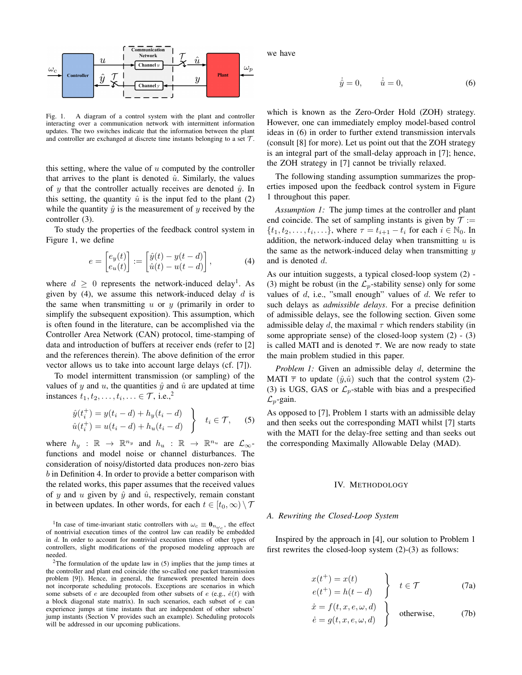

Fig. 1. A diagram of a control system with the plant and controller interacting over a communication network with intermittent information updates. The two switches indicate that the information between the plant and controller are exchanged at discrete time instants belonging to a set  $T$ .

this setting, where the value of  $u$  computed by the controller that arrives to the plant is denoted  $\hat{u}$ . Similarly, the values of y that the controller actually receives are denoted  $\hat{y}$ . In this setting, the quantity  $\hat{u}$  is the input fed to the plant (2) while the quantity  $\hat{y}$  is the measurement of y received by the controller (3).

To study the properties of the feedback control system in Figure 1, we define

$$
e = \begin{bmatrix} e_y(t) \\ e_u(t) \end{bmatrix} := \begin{bmatrix} \hat{y}(t) - y(t - d) \\ \hat{u}(t) - u(t - d) \end{bmatrix},
$$
 (4)

where  $d \geq 0$  represents the network-induced delay<sup>1</sup>. As given by (4), we assume this network-induced delay  $d$  is the same when transmitting  $u$  or  $y$  (primarily in order to simplify the subsequent exposition). This assumption, which is often found in the literature, can be accomplished via the Controller Area Network (CAN) protocol, time-stamping of data and introduction of buffers at receiver ends (refer to [2] and the references therein). The above definition of the error vector allows us to take into account large delays (cf. [7]).

To model intermittent transmission (or sampling) of the values of y and  $u$ , the quantities  $\hat{y}$  and  $\hat{u}$  are updated at time instances  $t_1, t_2, \ldots, t_i, \ldots \in \mathcal{T}$ , i.e.,<sup>2</sup>

$$
\hat{y}(t_i^+) = y(t_i - d) + h_y(t_i - d)
$$
\n
$$
\hat{u}(t_i^+) = u(t_i - d) + h_u(t_i - d)
$$
\n
$$
t_i \in \mathcal{T}, \qquad (5)
$$

where  $h_y$  :  $\mathbb{R} \to \mathbb{R}^{n_y}$  and  $h_u$  :  $\mathbb{R} \to \mathbb{R}^{n_u}$  are  $\mathcal{L}_{\infty}$ functions and model noise or channel disturbances. The consideration of noisy/distorted data produces non-zero bias b in Definition 4. In order to provide a better comparison with the related works, this paper assumes that the received values of y and u given by  $\hat{y}$  and  $\hat{u}$ , respectively, remain constant in between updates. In other words, for each  $t \in [t_0, \infty) \setminus \mathcal{T}$  we have

$$
\dot{\hat{y}} = 0, \qquad \dot{\hat{u}} = 0,\tag{6}
$$

which is known as the Zero-Order Hold (ZOH) strategy. However, one can immediately employ model-based control ideas in (6) in order to further extend transmission intervals (consult [8] for more). Let us point out that the ZOH strategy is an integral part of the small-delay approach in [7]; hence, the ZOH strategy in [7] cannot be trivially relaxed.

The following standing assumption summarizes the properties imposed upon the feedback control system in Figure 1 throughout this paper.

*Assumption 1:* The jump times at the controller and plant end coincide. The set of sampling instants is given by  $\mathcal{T} :=$  $\{t_1, t_2, \ldots, t_i, \ldots\}$ , where  $\tau = t_{i+1} - t_i$  for each  $i \in \mathbb{N}_0$ . In addition, the network-induced delay when transmitting  $u$  is the same as the network-induced delay when transmitting  $y$ and is denoted d.

As our intuition suggests, a typical closed-loop system (2) - (3) might be robust (in the  $\mathcal{L}_p$ -stability sense) only for some values of  $d$ , i.e., "small enough" values of  $d$ . We refer to such delays as *admissible delays*. For a precise definition of admissible delays, see the following section. Given some admissible delay d, the maximal  $\tau$  which renders stability (in some appropriate sense) of the closed-loop system  $(2)$  -  $(3)$ is called MATI and is denoted  $\overline{\tau}$ . We are now ready to state the main problem studied in this paper.

*Problem 1:* Given an admissible delay d, determine the MATI  $\bar{\tau}$  to update  $(\hat{y}, \hat{u})$  such that the control system (2)-(3) is UGS, GAS or  $\mathcal{L}_p$ -stable with bias and a prespecified  $\mathcal{L}_p$ -gain.

As opposed to [7], Problem 1 starts with an admissible delay and then seeks out the corresponding MATI whilst [7] starts with the MATI for the delay-free setting and than seeks out the corresponding Maximally Allowable Delay (MAD).

#### IV. METHODOLOGY

#### *A. Rewriting the Closed-Loop System*

Inspired by the approach in [4], our solution to Problem 1 first rewrites the closed-loop system (2)-(3) as follows:

$$
\begin{aligned}\nx(t^+) &= x(t) \\
e(t^+) &= h(t - d)\n\end{aligned}\n\qquad \qquad \text{(7a)}
$$

$$
\begin{aligned}\n\dot{x} &= f(t, x, e, \omega, d) \\
\dot{e} &= g(t, x, e, \omega, d)\n\end{aligned}\n\} \text{otherwise},\n\tag{7b}
$$

<sup>&</sup>lt;sup>1</sup>In case of time-invariant static controllers with  $\omega_c \equiv \mathbf{0}_{n_{\omega_c}}$ , the effect of nontrivial execution times of the control law can readily be embedded in d. In order to account for nontrivial execution times of other types of controllers, slight modifications of the proposed modeling approach are needed.

<sup>&</sup>lt;sup>2</sup>The formulation of the update law in  $(5)$  implies that the jump times at the controller and plant end coincide (the so-called one packet transmission problem [9]). Hence, in general, the framework presented herein does not incorporate scheduling protocols. Exceptions are scenarios in which some subsets of e are decoupled from other subsets of  $e$  (e.g.,  $\dot{e}(t)$  with a block diagonal state matrix). In such scenarios, each subset of  $e$  can experience jumps at time instants that are independent of other subsets' jump instants (Section V provides such an example). Scheduling protocols will be addressed in our upcoming publications.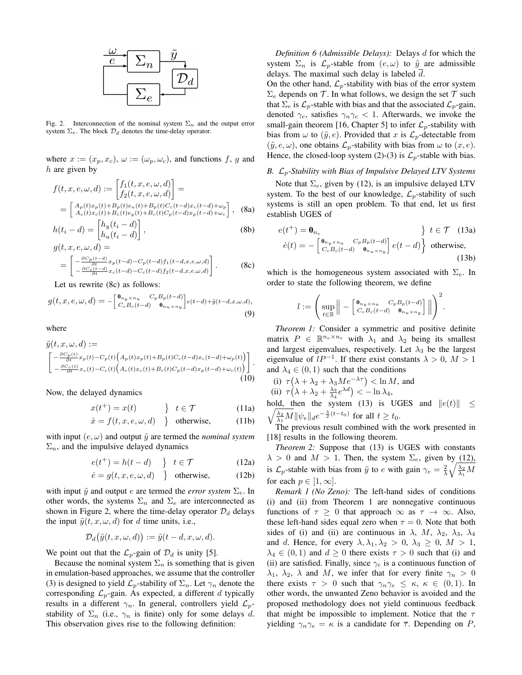

Fig. 2. Interconnection of the nominal system  $\Sigma_n$  and the output error system  $\Sigma_e$ . The block  $\mathcal{D}_d$  denotes the time-delay operator.

where  $x := (x_p, x_c)$ ,  $\omega := (\omega_p, \omega_c)$ , and functions f, g and h are given by

$$
f(t, x, e, \omega, d) := \begin{bmatrix} f_1(t, x, e, \omega, d) \\ f_2(t, x, e, \omega, d) \end{bmatrix} =
$$
  
= 
$$
\begin{bmatrix} A_p(t)x_p(t) + B_p(t)e_u(t) + B_p(t)C_c(t - d)x_c(t - d) + \omega_p \\ A_c(t)x_c(t) + B_c(t)e_y(t) + B_c(t)C_p(t - d)x_p(t - d) + \omega_c \end{bmatrix}
$$
, (8a)

$$
h(t_i - d) = \begin{bmatrix} h_y(t_i - d) \\ h_u(t_i - d) \end{bmatrix},
$$
  
 
$$
q(t, x, e, \omega, d) =
$$
 (8b)

$$
= \begin{bmatrix} -\frac{\partial C_p(t-d)}{\partial t} x_p(t-d) - C_p(t-d) f_1(t-d, x, e, \omega, d) \\ -\frac{\partial C_c(t-d)}{\partial t} x_c(t-d) - C_c(t-d) f_2(t-d, x, e, \omega, d) \end{bmatrix}.
$$
 (8c)

Let us rewrite (8c) as follows:

$$
g(t, x, e, \omega, d) = -\begin{bmatrix} \mathbf{0}_{n_y \times n_u} & C_p B_p(t - d) \\ C_c B_c(t - d) & \mathbf{0}_{n_u \times n_y} \end{bmatrix} e(t - d) + \tilde{y}(t - d, x, \omega, d),
$$
\n(9)

where

$$
\tilde{y}(t, x, \omega, d) :=\n\begin{bmatrix}\n-\frac{\partial C_p(t)}{\partial t} x_p(t) - C_p(t) \left( A_p(t) x_p(t) + B_p(t) C_c(t - d) x_c(t - d) + \omega_p(t) \right) \\
-\frac{\partial C_c(t)}{\partial t} x_c(t) - C_c(t) \left( A_c(t) x_c(t) + B_c(t) C_p(t - d) x_p(t - d) + \omega_c(t) \right)\n\end{bmatrix}.
$$
\n(10)

Now, the delayed dynamics

$$
x(t^+) = x(t) \qquad \qquad \frac{\ }{2} \quad t \in \mathcal{T} \tag{11a}
$$

$$
\dot{x} = f(t, x, e, \omega, d) \quad \text{otherwise,} \tag{11b}
$$

with input  $(e, \omega)$  and output  $\tilde{y}$  are termed the *nominal system*  $\Sigma_n$ , and the impulsive delayed dynamics

$$
e(t^+) = h(t - d) \quad \, \bigg\} \quad t \in \mathcal{T} \tag{12a}
$$

$$
\dot{e} = g(t, x, e, \omega, d) \quad \text{otherwise}, \tag{12b}
$$

with input  $\tilde{y}$  and output e are termed the *error system*  $\Sigma_e$ . In other words, the systems  $\Sigma_n$  and  $\Sigma_e$  are interconnected as shown in Figure 2, where the time-delay operator  $\mathcal{D}_d$  delays the input  $\tilde{y}(t, x, \omega, d)$  for d time units, i.e.,

$$
\mathcal{D}_d\big(\tilde{y}(t,x,\omega,d)\big) := \tilde{y}(t-d,x,\omega,d).
$$

We point out that the  $\mathcal{L}_p$ -gain of  $\mathcal{D}_d$  is unity [5].

Because the nominal system  $\Sigma_n$  is something that is given in emulation-based approaches, we assume that the controller (3) is designed to yield  $\mathcal{L}_p$ -stability of  $\Sigma_n$ . Let  $\gamma_n$  denote the corresponding  $\mathcal{L}_p$ -gain. As expected, a different d typically results in a different  $\gamma_n$ . In general, controllers yield  $\mathcal{L}_p$ stability of  $\Sigma_n$  (i.e.,  $\gamma_n$  is finite) only for some delays d. This observation gives rise to the following definition:

*Definition 6 (Admissible Delays):* Delays d for which the system  $\Sigma_n$  is  $\mathcal{L}_p$ -stable from  $(e, \omega)$  to  $\tilde{y}$  are admissible delays. The maximal such delay is labeled  $d$ .

On the other hand,  $\mathcal{L}_p$ -stability with bias of the error system  $\Sigma_e$  depends on T. In what follows, we design the set T such that  $\Sigma_e$  is  $\mathcal{L}_p$ -stable with bias and that the associated  $\mathcal{L}_p$ -gain, denoted  $\gamma_e$ , satisfies  $\gamma_n \gamma_e < 1$ . Afterwards, we invoke the small-gain theorem [16, Chapter 5] to infer  $\mathcal{L}_p$ -stability with bias from  $\omega$  to  $(\tilde{y}, e)$ . Provided that x is  $\mathcal{L}_p$ -detectable from  $(\tilde{y}, e, \omega)$ , one obtains  $\mathcal{L}_p$ -stability with bias from  $\omega$  to  $(x, e)$ . Hence, the closed-loop system (2)-(3) is  $\mathcal{L}_p$ -stable with bias.

## *B.* Lp*-Stability with Bias of Impulsive Delayed LTV Systems*

Note that  $\Sigma_e$ , given by (12), is an impulsive delayed LTV system. To the best of our knowledge,  $\mathcal{L}_p$ -stability of such systems is still an open problem. To that end, let us first establish UGES of

$$
e(t^+) = \mathbf{0}_{n_e} \qquad \qquad \} t \in \mathcal{T} \quad (13a)
$$

$$
\dot{e}(t) = -\begin{bmatrix} \mathbf{0}_{n_y \times n_u} & C_p B_p(t - d) \\ C_c B_c(t - d) & \mathbf{0}_{n_u \times n_y} \end{bmatrix} e(t - d) \qquad \text{otherwise}, \tag{13b}
$$

which is the homogeneous system associated with  $\Sigma_e$ . In order to state the following theorem, we define

$$
l := \left(\sup_{t \in \mathbb{R}} \left\| - \left[ \begin{array}{c} \mathbf{0}_{n_y \times n_u} & C_p B_p(t-d) \\ C_c B_c(t-d) & \mathbf{0}_{n_u \times n_y} \end{array} \right] \right\| \right)^2.
$$

*Theorem 1:* Consider a symmetric and positive definite matrix  $P \in \mathbb{R}^{n_e \times n_e}$  with  $\lambda_1$  and  $\lambda_2$  being its smallest and largest eigenvalues, respectively. Let  $\lambda_3$  be the largest eigenvalue of  $lP^{-1}$ . If there exist constants  $\lambda > 0$ ,  $M > 1$ and  $\lambda_4 \in (0,1)$  such that the conditions

(i)  $\tau(\lambda + \lambda_2 + \lambda_3 M e^{-\lambda \tau}) < \ln M$ , and (ii)  $\tau(\lambda + \lambda_2 + \frac{\lambda_3}{\lambda_4}e^{\lambda d}) < -\ln \lambda_4$ ,

hold, then the system (13) is UGES and  $||e(t)|| \le$  $\sqrt{\frac{\lambda_2}{\lambda_1}M} \|\psi_e\|_d e^{-\frac{\lambda}{2}(t-t_0)}$  for all  $t \ge t_0$ .

The previous result combined with the work presented in [18] results in the following theorem.

*Theorem 2:* Suppose that (13) is UGES with constants  $\lambda > 0$  and  $M > 1$ . Then, the system  $\Sigma_e$ , given by (12), is  $\mathcal{L}_p$ -stable with bias from  $\tilde{y}$  to e with gain  $\gamma_e = \frac{2}{\lambda} \sqrt{\frac{\lambda_2}{\lambda_1} M}$ for each  $p \in [1, \infty]$ .

*Remark 1 (No Zeno):* The left-hand sides of conditions (i) and (ii) from Theorem 1 are nonnegative continuous functions of  $\tau \geq 0$  that approach  $\infty$  as  $\tau \to \infty$ . Also, these left-hand sides equal zero when  $\tau = 0$ . Note that both sides of (i) and (ii) are continuous in  $\lambda$ ,  $M$ ,  $\lambda_2$ ,  $\lambda_3$ ,  $\lambda_4$ and d. Hence, for every  $\lambda, \lambda_1, \lambda_2 > 0, \lambda_3 \geq 0, M > 1$ ,  $\lambda_4 \in (0,1)$  and  $d \ge 0$  there exists  $\tau > 0$  such that (i) and (ii) are satisfied. Finally, since  $\gamma_e$  is a continuous function of  $\lambda_1$ ,  $\lambda_2$ ,  $\lambda$  and M, we infer that for every finite  $\gamma_n > 0$ there exists  $\tau > 0$  such that  $\gamma_n \gamma_e \leq \kappa, \kappa \in (0,1)$ . In other words, the unwanted Zeno behavior is avoided and the proposed methodology does not yield continuous feedback that might be impossible to implement. Notice that the  $\tau$ yielding  $\gamma_n \gamma_e = \kappa$  is a candidate for  $\overline{\tau}$ . Depending on P,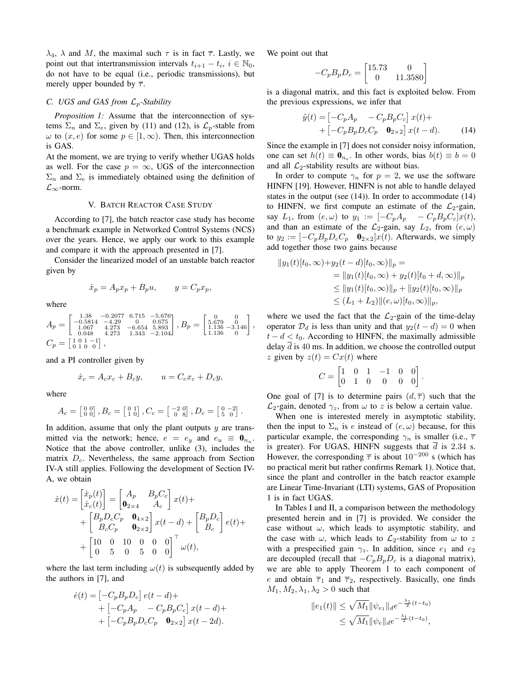$\lambda_4$ ,  $\lambda$  and M, the maximal such  $\tau$  is in fact  $\overline{\tau}$ . Lastly, we point out that intertransmission intervals  $t_{i+1} - t_i$ ,  $i \in \mathbb{N}_0$ , do not have to be equal (i.e., periodic transmissions), but merely upper bounded by  $\overline{\tau}$ .

## *C. UGS and GAS from*  $\mathcal{L}_p$ *-Stability*

*Proposition 1:* Assume that the interconnection of systems  $\Sigma_n$  and  $\Sigma_e$ , given by (11) and (12), is  $\mathcal{L}_p$ -stable from  $\omega$  to  $(x, e)$  for some  $p \in [1, \infty)$ . Then, this interconnection is GAS.

At the moment, we are trying to verify whether UGAS holds as well. For the case  $p = \infty$ , UGS of the interconnection  $\Sigma_n$  and  $\Sigma_e$  is immediately obtained using the definition of  $\mathcal{L}_{\infty}$ -norm.

## V. BATCH REACTOR CASE STUDY

According to [7], the batch reactor case study has become a benchmark example in Networked Control Systems (NCS) over the years. Hence, we apply our work to this example and compare it with the approach presented in [7].

Consider the linearized model of an unstable batch reactor given by

$$
\dot{x}_p = A_p x_p + B_p u, \qquad y = C_p x_p,
$$

where

 $A_p =$  $\left[ \begin{array}{cccc} 1.38 & -0.2077 & 6.715 & -5.676 \\ -0.5814 & -4.29 & 0 & 0.675 \\ 1.067 & 4.273 & -6.654 & 5.893 \\ 0.048 & 4.273 & 1.343 & -2.104 \end{array} \right]$  $\Bigg\}, B_p = \left[ \begin{smallmatrix} 0 & 0 \\ 5.679 & 0 \\ 1.136 & -3.146 \\ 1.136 & 0 \end{smallmatrix} \right],$  $C_p = \left[ \begin{smallmatrix} 1 & 0 & 1 & -1 \\ 0 & 1 & 0 & 0 \end{smallmatrix} \right],$ 

and a PI controller given by

$$
\dot{x}_c = A_c x_c + B_c y, \qquad u = C_c x_c + D_c y,
$$

where

$$
A_c = \begin{bmatrix} 0 & 0 \\ 0 & 0 \end{bmatrix}, B_c = \begin{bmatrix} 0 & 1 \\ 1 & 0 \end{bmatrix}, C_c = \begin{bmatrix} -2 & 0 \\ 0 & 8 \end{bmatrix}, D_c = \begin{bmatrix} 0 & -2 \\ 5 & 0 \end{bmatrix}.
$$

In addition, assume that only the plant outputs  $y$  are transmitted via the network; hence,  $e = e_y$  and  $e_u \equiv \mathbf{0}_{n_u}$ . Notice that the above controller, unlike (3), includes the matrix  $D_c$ . Nevertheless, the same approach from Section IV-A still applies. Following the development of Section IV-A, we obtain

$$
\begin{split} \dot{x}(t) &= \begin{bmatrix} \dot{x}_p(t) \\ \dot{x}_c(t) \end{bmatrix} = \begin{bmatrix} A_p & B_p C_c \\ \mathbf{0}_{2 \times 4} & A_c \end{bmatrix} x(t) + \\ &+ \begin{bmatrix} B_p D_c C_p & \mathbf{0}_{4 \times 2} \\ B_c C_p & \mathbf{0}_{2 \times 2} \end{bmatrix} x(t - d) + \begin{bmatrix} B_p D_c \\ B_c \end{bmatrix} e(t) + \\ &+ \begin{bmatrix} 10 & 0 & 10 & 0 & 0 & 0 \\ 0 & 5 & 0 & 5 & 0 & 0 \end{bmatrix}^\top \omega(t), \end{split}
$$

where the last term including  $\omega(t)$  is subsequently added by the authors in [7], and

$$
\begin{aligned} \dot{e}(t) &= \left[ -C_p B_p D_c \right] e(t - d) + \\ &+ \left[ -C_p A_p \right. \right. \left. -C_p B_p C_c \right] x(t - d) + \\ &+ \left[ -C_p B_p D_c C_p \right. \left. \left. \mathbf{0}_{2 \times 2} \right] x(t - 2d). \end{aligned}
$$

We point out that

$$
-C_p B_p D_c = \begin{bmatrix} 15.73 & 0\\ 0 & 11.3580 \end{bmatrix}
$$

is a diagonal matrix, and this fact is exploited below. From the previous expressions, we infer that

$$
\tilde{y}(t) = \begin{bmatrix} -C_p A_p & -C_p B_p C_c \end{bmatrix} x(t) +
$$
  
+ 
$$
\begin{bmatrix} -C_p B_p D_c C_p & \mathbf{0}_{2 \times 2} \end{bmatrix} x(t - d).
$$
 (14)

Since the example in [7] does not consider noisy information, one can set  $h(t) \equiv \mathbf{0}_{n_e}$ . In other words, bias  $b(t) \equiv b = 0$ and all  $\mathcal{L}_2$ -stability results are without bias.

In order to compute  $\gamma_n$  for  $p = 2$ , we use the software HINFN [19]. However, HINFN is not able to handle delayed states in the output (see (14)). In order to accommodate (14) to HINFN, we first compute an estimate of the  $\mathcal{L}_2$ -gain, say  $L_1$ , from  $(e, \omega)$  to  $y_1 := \begin{bmatrix} -C_p A_p & -C_p B_p C_c \end{bmatrix} x(t)$ , and than an estimate of the  $\mathcal{L}_2$ -gain, say  $L_2$ , from  $(e, \omega)$ to  $y_2 := \begin{bmatrix} -C_p B_p D_c C_p & \mathbf{0}_{2 \times 2} \end{bmatrix} x(t)$ . Afterwards, we simply add together those two gains because

$$
||y_1(t)[t_0, \infty)+y_2(t-d)[t_0, \infty)||_p =
$$
  
=  $||y_1(t)[t_0, \infty)+y_2(t)[t_0+d, \infty)||_p$   
 $\leq ||y_1(t)[t_0, \infty)||_p + ||y_2(t)[t_0, \infty)||_p$   
 $\leq (L_1 + L_2)||(e, \omega)[t_0, \infty)||_p,$ 

where we used the fact that the  $\mathcal{L}_2$ -gain of the time-delay operator  $\mathcal{D}_d$  is less than unity and that  $y_2(t - d) = 0$  when  $t - d < t_0$ . According to HINFN, the maximally admissible delay  $\overline{d}$  is 40 ms. In addition, we choose the controlled output z given by  $z(t) = Cx(t)$  where

$$
C = \begin{bmatrix} 1 & 0 & 1 & -1 & 0 & 0 \\ 0 & 1 & 0 & 0 & 0 & 0 \end{bmatrix}.
$$

One goal of [7] is to determine pairs  $(d, \overline{\tau})$  such that the  $\mathcal{L}_2$ -gain, denoted  $\gamma_z$ , from  $\omega$  to z is below a certain value.

When one is interested merely in asymptotic stability, then the input to  $\Sigma_n$  is e instead of  $(e, \omega)$  because, for this particular example, the corresponding  $\gamma_n$  is smaller (i.e.,  $\bar{\tau}$ is greater). For UGAS, HINFN suggests that  $\overline{d}$  is 2.34 s. However, the corresponding  $\overline{\tau}$  is about 10<sup>-200</sup> s (which has no practical merit but rather confirms Remark 1). Notice that, since the plant and controller in the batch reactor example are Linear Time-Invariant (LTI) systems, GAS of Proposition 1 is in fact UGAS.

In Tables I and II, a comparison between the methodology presented herein and in [7] is provided. We consider the case without  $\omega$ , which leads to asymptotic stability, and the case with  $\omega$ , which leads to  $\mathcal{L}_2$ -stability from  $\omega$  to z with a prespecified gain  $\gamma_z$ . In addition, since  $e_1$  and  $e_2$ are decoupled (recall that  $-C_pB_pD_c$  is a diagonal matrix), we are able to apply Theorem 1 to each component of e and obtain  $\overline{\tau}_1$  and  $\overline{\tau}_2$ , respectively. Basically, one finds  $M_1, M_2, \lambda_1, \lambda_2 > 0$  such that

$$
||e_1(t)|| \le \sqrt{M_1} ||\psi_{e_1}||_d e^{-\frac{\lambda_1}{2}(t-t_0)}
$$
  

$$
\le \sqrt{M_1} ||\psi_e||_d e^{-\frac{\lambda_1}{2}(t-t_0)},
$$